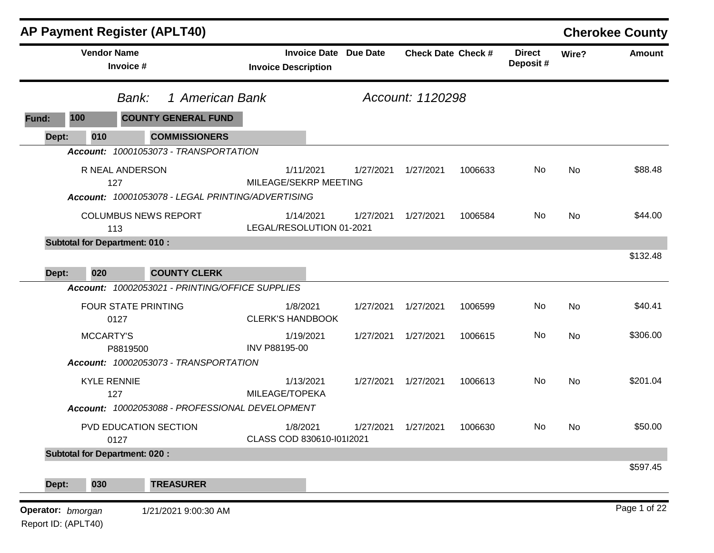|              |                                      | <b>AP Payment Register (APLT40)</b>               |                                                   |                 |                           |         |                           |           | <b>Cherokee County</b> |
|--------------|--------------------------------------|---------------------------------------------------|---------------------------------------------------|-----------------|---------------------------|---------|---------------------------|-----------|------------------------|
|              | <b>Vendor Name</b><br>Invoice #      |                                                   | <b>Invoice Date</b><br><b>Invoice Description</b> | <b>Due Date</b> | <b>Check Date Check #</b> |         | <b>Direct</b><br>Deposit# | Wire?     | <b>Amount</b>          |
|              |                                      | 1 American Bank<br>Bank:                          |                                                   |                 | Account: 1120298          |         |                           |           |                        |
| 100<br>Fund: |                                      | <b>COUNTY GENERAL FUND</b>                        |                                                   |                 |                           |         |                           |           |                        |
| Dept:        | 010                                  | <b>COMMISSIONERS</b>                              |                                                   |                 |                           |         |                           |           |                        |
|              |                                      | Account: 10001053073 - TRANSPORTATION             |                                                   |                 |                           |         |                           |           |                        |
|              | R NEAL ANDERSON<br>127               | Account: 10001053078 - LEGAL PRINTING/ADVERTISING | 1/11/2021<br>MILEAGE/SEKRP MEETING                | 1/27/2021       | 1/27/2021                 | 1006633 | No                        | No        | \$88.48                |
|              | 113                                  | <b>COLUMBUS NEWS REPORT</b>                       | 1/14/2021<br>LEGAL/RESOLUTION 01-2021             | 1/27/2021       | 1/27/2021                 | 1006584 | No                        | No        | \$44.00                |
|              | <b>Subtotal for Department: 010:</b> |                                                   |                                                   |                 |                           |         |                           |           |                        |
|              |                                      |                                                   |                                                   |                 |                           |         |                           |           | \$132.48               |
| Dept:        | 020                                  | <b>COUNTY CLERK</b>                               |                                                   |                 |                           |         |                           |           |                        |
|              |                                      | Account: 10002053021 - PRINTING/OFFICE SUPPLIES   |                                                   |                 |                           |         |                           |           |                        |
|              | 0127                                 | <b>FOUR STATE PRINTING</b>                        | 1/8/2021<br><b>CLERK'S HANDBOOK</b>               | 1/27/2021       | 1/27/2021                 | 1006599 | No                        | No        | \$40.41                |
|              | <b>MCCARTY'S</b><br>P8819500         |                                                   | 1/19/2021<br>INV P88195-00                        | 1/27/2021       | 1/27/2021                 | 1006615 | No                        | No        | \$306.00               |
|              |                                      | Account: 10002053073 - TRANSPORTATION             |                                                   |                 |                           |         |                           |           |                        |
|              | <b>KYLE RENNIE</b><br>127            |                                                   | 1/13/2021<br>MILEAGE/TOPEKA                       | 1/27/2021       | 1/27/2021                 | 1006613 | No                        | <b>No</b> | \$201.04               |
|              |                                      | Account: 10002053088 - PROFESSIONAL DEVELOPMENT   |                                                   |                 |                           |         |                           |           |                        |
|              | 0127                                 | PVD EDUCATION SECTION                             | 1/8/2021<br>CLASS COD 830610-10112021             | 1/27/2021       | 1/27/2021                 | 1006630 | No                        | No.       | \$50.00                |
|              | <b>Subtotal for Department: 020:</b> |                                                   |                                                   |                 |                           |         |                           |           |                        |
| Dept:        | 030                                  | <b>TREASURER</b>                                  |                                                   |                 |                           |         |                           |           | \$597.45               |
|              |                                      |                                                   |                                                   |                 |                           |         |                           |           |                        |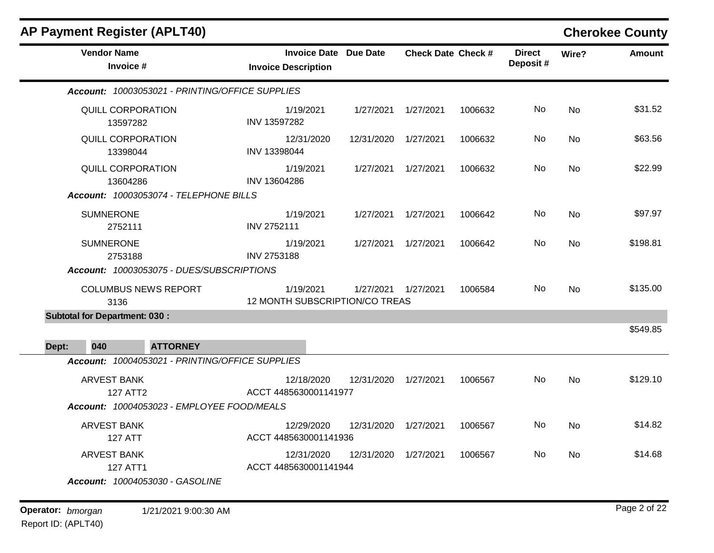| <b>AP Payment Register (APLT40)</b>             |                                                            |            |                           |         |                           |           | <b>Cherokee County</b> |
|-------------------------------------------------|------------------------------------------------------------|------------|---------------------------|---------|---------------------------|-----------|------------------------|
| <b>Vendor Name</b><br>Invoice #                 | <b>Invoice Date Due Date</b><br><b>Invoice Description</b> |            | <b>Check Date Check #</b> |         | <b>Direct</b><br>Deposit# | Wire?     | Amount                 |
| Account: 10003053021 - PRINTING/OFFICE SUPPLIES |                                                            |            |                           |         |                           |           |                        |
| QUILL CORPORATION<br>13597282                   | 1/19/2021<br>INV 13597282                                  | 1/27/2021  | 1/27/2021                 | 1006632 | No                        | <b>No</b> | \$31.52                |
| QUILL CORPORATION<br>13398044                   | 12/31/2020<br>INV 13398044                                 | 12/31/2020 | 1/27/2021                 | 1006632 | No.                       | No        | \$63.56                |
| <b>QUILL CORPORATION</b><br>13604286            | 1/19/2021<br>INV 13604286                                  | 1/27/2021  | 1/27/2021                 | 1006632 | No.                       | No        | \$22.99                |
| Account: 10003053074 - TELEPHONE BILLS          |                                                            |            |                           |         |                           |           |                        |
| <b>SUMNERONE</b><br>2752111                     | 1/19/2021<br>INV 2752111                                   | 1/27/2021  | 1/27/2021                 | 1006642 | No                        | <b>No</b> | \$97.97                |
| <b>SUMNERONE</b><br>2753188                     | 1/19/2021<br>INV 2753188                                   | 1/27/2021  | 1/27/2021                 | 1006642 | No.                       | <b>No</b> | \$198.81               |
| Account: 10003053075 - DUES/SUBSCRIPTIONS       |                                                            |            |                           |         |                           |           |                        |
| <b>COLUMBUS NEWS REPORT</b><br>3136             | 1/19/2021<br>12 MONTH SUBSCRIPTION/CO TREAS                | 1/27/2021  | 1/27/2021                 | 1006584 | No.                       | <b>No</b> | \$135.00               |
| <b>Subtotal for Department: 030:</b>            |                                                            |            |                           |         |                           |           |                        |
| 040<br><b>ATTORNEY</b><br>Dept:                 |                                                            |            |                           |         |                           |           | \$549.85               |
| Account: 10004053021 - PRINTING/OFFICE SUPPLIES |                                                            |            |                           |         |                           |           |                        |
| <b>ARVEST BANK</b><br>127 ATT2                  | 12/18/2020<br>ACCT 4485630001141977                        | 12/31/2020 | 1/27/2021                 | 1006567 | No.                       | <b>No</b> | \$129.10               |
| Account: 10004053023 - EMPLOYEE FOOD/MEALS      |                                                            |            |                           |         |                           |           |                        |
| <b>ARVEST BANK</b><br><b>127 ATT</b>            | 12/29/2020<br>ACCT 4485630001141936                        | 12/31/2020 | 1/27/2021                 | 1006567 | No.                       | No        | \$14.82                |
| <b>ARVEST BANK</b><br><b>127 ATT1</b>           | 12/31/2020<br>ACCT 4485630001141944                        | 12/31/2020 | 1/27/2021                 | 1006567 | No.                       | <b>No</b> | \$14.68                |
| Account: 10004053030 - GASOLINE                 |                                                            |            |                           |         |                           |           |                        |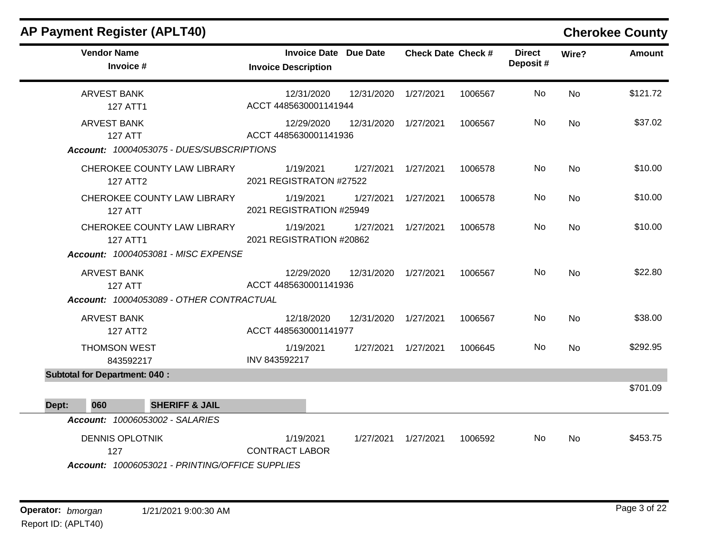| <b>Vendor Name</b><br>Invoice #                                                                                         | <b>Invoice Date Due Date</b><br><b>Invoice Description</b> |                      | <b>Check Date Check #</b> |         | <b>Direct</b><br>Deposit# | Wire?     | <b>Amount</b> |
|-------------------------------------------------------------------------------------------------------------------------|------------------------------------------------------------|----------------------|---------------------------|---------|---------------------------|-----------|---------------|
| <b>ARVEST BANK</b><br><b>127 ATT1</b>                                                                                   | 12/31/2020<br>ACCT 4485630001141944                        | 12/31/2020 1/27/2021 |                           | 1006567 | No                        | <b>No</b> | \$121.72      |
| <b>ARVEST BANK</b><br><b>127 ATT</b><br>Account: 10004053075 - DUES/SUBSCRIPTIONS                                       | 12/29/2020<br>ACCT 4485630001141936                        | 12/31/2020           | 1/27/2021                 | 1006567 | No.                       | <b>No</b> | \$37.02       |
| CHEROKEE COUNTY LAW LIBRARY<br>127 ATT2                                                                                 | 1/19/2021<br>2021 REGISTRATON #27522                       |                      | 1/27/2021 1/27/2021       | 1006578 | No                        | <b>No</b> | \$10.00       |
| CHEROKEE COUNTY LAW LIBRARY<br><b>127 ATT</b>                                                                           | 1/19/2021<br>2021 REGISTRATION #25949                      | 1/27/2021            | 1/27/2021                 | 1006578 | No.                       | <b>No</b> | \$10.00       |
| CHEROKEE COUNTY LAW LIBRARY<br>127 ATT1                                                                                 | 1/19/2021<br>2021 REGISTRATION #20862                      | 1/27/2021            | 1/27/2021                 | 1006578 | No.                       | No        | \$10.00       |
| Account: 10004053081 - MISC EXPENSE<br><b>ARVEST BANK</b><br><b>127 ATT</b><br>Account: 10004053089 - OTHER CONTRACTUAL | 12/29/2020<br>ACCT 4485630001141936                        | 12/31/2020 1/27/2021 |                           | 1006567 | No                        | <b>No</b> | \$22.80       |
| <b>ARVEST BANK</b><br><b>127 ATT2</b>                                                                                   | 12/18/2020<br>ACCT 4485630001141977                        | 12/31/2020 1/27/2021 |                           | 1006567 | No.                       | No        | \$38.00       |
| <b>THOMSON WEST</b><br>843592217                                                                                        | 1/19/2021<br>INV 843592217                                 |                      | 1/27/2021  1/27/2021      | 1006645 | No.                       | <b>No</b> | \$292.95      |
| <b>Subtotal for Department: 040:</b>                                                                                    |                                                            |                      |                           |         |                           |           |               |
| 060<br><b>SHERIFF &amp; JAIL</b><br>Dept:                                                                               |                                                            |                      |                           |         |                           |           | \$701.09      |
| <b>Account: 10006053002 - SALARIES</b>                                                                                  |                                                            |                      |                           |         |                           |           |               |
| <b>DENNIS OPLOTNIK</b><br>127<br>Account: 10006053021 - PRINTING/OFFICE SUPPLIES                                        | 1/19/2021<br><b>CONTRACT LABOR</b>                         |                      | 1/27/2021  1/27/2021      | 1006592 | No.                       | No        | \$453.75      |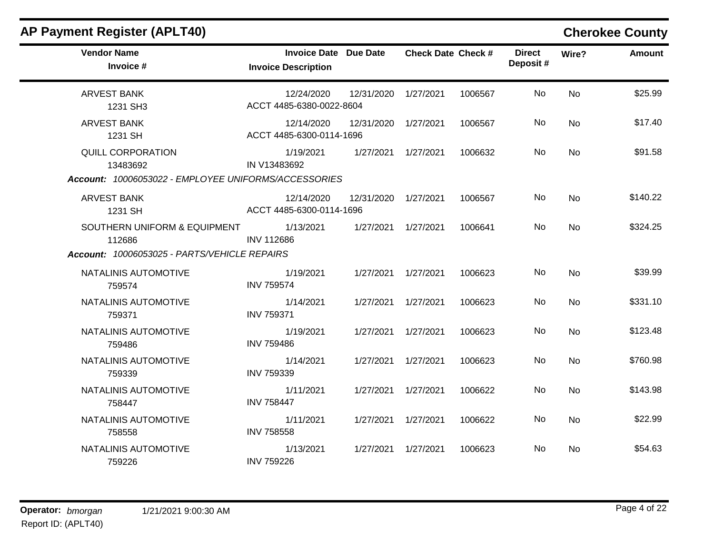| <b>Vendor Name</b><br>Invoice #                                                              | <b>Invoice Date Due Date</b><br><b>Invoice Description</b> |                      | <b>Check Date Check #</b> |         | <b>Direct</b><br>Deposit# | Wire?     | <b>Amount</b> |
|----------------------------------------------------------------------------------------------|------------------------------------------------------------|----------------------|---------------------------|---------|---------------------------|-----------|---------------|
| <b>ARVEST BANK</b><br>1231 SH3                                                               | 12/24/2020<br>ACCT 4485-6380-0022-8604                     | 12/31/2020 1/27/2021 |                           | 1006567 | No                        | <b>No</b> | \$25.99       |
| <b>ARVEST BANK</b><br>1231 SH                                                                | 12/14/2020<br>ACCT 4485-6300-0114-1696                     | 12/31/2020 1/27/2021 |                           | 1006567 | No                        | No        | \$17.40       |
| <b>QUILL CORPORATION</b><br>13483692<br>Account: 10006053022 - EMPLOYEE UNIFORMS/ACCESSORIES | 1/19/2021<br>IN V13483692                                  | 1/27/2021  1/27/2021 |                           | 1006632 | No.                       | <b>No</b> | \$91.58       |
| <b>ARVEST BANK</b><br>1231 SH                                                                | 12/14/2020<br>ACCT 4485-6300-0114-1696                     | 12/31/2020 1/27/2021 |                           | 1006567 | No                        | <b>No</b> | \$140.22      |
| SOUTHERN UNIFORM & EQUIPMENT<br>112686<br>Account: 10006053025 - PARTS/VEHICLE REPAIRS       | 1/13/2021<br><b>INV 112686</b>                             | 1/27/2021 1/27/2021  |                           | 1006641 | No                        | <b>No</b> | \$324.25      |
| NATALINIS AUTOMOTIVE<br>759574                                                               | 1/19/2021<br><b>INV 759574</b>                             | 1/27/2021  1/27/2021 |                           | 1006623 | No                        | <b>No</b> | \$39.99       |
| NATALINIS AUTOMOTIVE<br>759371                                                               | 1/14/2021<br><b>INV 759371</b>                             | 1/27/2021  1/27/2021 |                           | 1006623 | No                        | <b>No</b> | \$331.10      |
| NATALINIS AUTOMOTIVE<br>759486                                                               | 1/19/2021<br><b>INV 759486</b>                             | 1/27/2021            | 1/27/2021                 | 1006623 | No                        | <b>No</b> | \$123.48      |
| NATALINIS AUTOMOTIVE<br>759339                                                               | 1/14/2021<br>INV 759339                                    | 1/27/2021  1/27/2021 |                           | 1006623 | No                        | <b>No</b> | \$760.98      |
| NATALINIS AUTOMOTIVE<br>758447                                                               | 1/11/2021<br><b>INV 758447</b>                             | 1/27/2021            | 1/27/2021                 | 1006622 | No                        | <b>No</b> | \$143.98      |
| NATALINIS AUTOMOTIVE<br>758558                                                               | 1/11/2021<br><b>INV 758558</b>                             | 1/27/2021  1/27/2021 |                           | 1006622 | No                        | <b>No</b> | \$22.99       |
| NATALINIS AUTOMOTIVE<br>759226                                                               | 1/13/2021<br><b>INV 759226</b>                             | 1/27/2021  1/27/2021 |                           | 1006623 | No.                       | <b>No</b> | \$54.63       |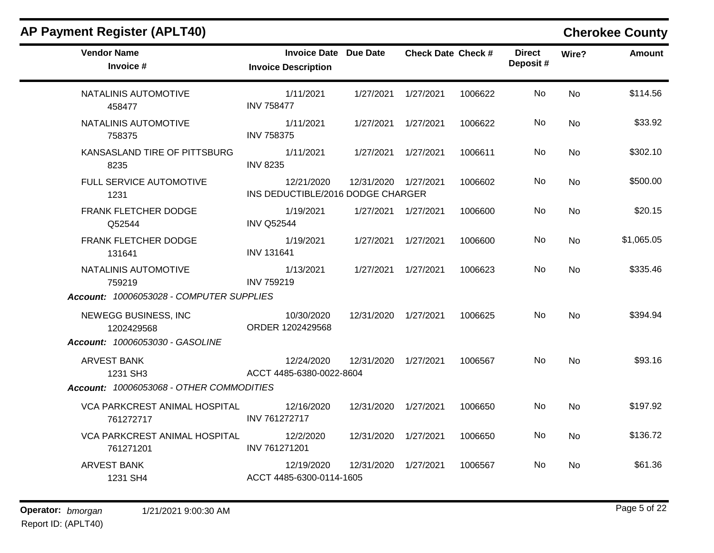| <b>Vendor Name</b><br>Invoice #                                            | <b>Invoice Date Due Date</b><br><b>Invoice Description</b> |                      | <b>Check Date Check #</b> |         | <b>Direct</b><br>Deposit# | Wire?          | <b>Amount</b> |
|----------------------------------------------------------------------------|------------------------------------------------------------|----------------------|---------------------------|---------|---------------------------|----------------|---------------|
| NATALINIS AUTOMOTIVE<br>458477                                             | 1/11/2021<br><b>INV 758477</b>                             | 1/27/2021            | 1/27/2021                 | 1006622 | <b>No</b>                 | <b>No</b>      | \$114.56      |
| NATALINIS AUTOMOTIVE<br>758375                                             | 1/11/2021<br><b>INV 758375</b>                             | 1/27/2021  1/27/2021 |                           | 1006622 | No.                       | <b>No</b>      | \$33.92       |
| KANSASLAND TIRE OF PITTSBURG<br>8235                                       | 1/11/2021<br><b>INV 8235</b>                               | 1/27/2021 1/27/2021  |                           | 1006611 | No                        | <b>No</b>      | \$302.10      |
| FULL SERVICE AUTOMOTIVE<br>1231                                            | 12/21/2020<br>INS DEDUCTIBLE/2016 DODGE CHARGER            | 12/31/2020 1/27/2021 |                           | 1006602 | No.                       | <b>No</b>      | \$500.00      |
| FRANK FLETCHER DODGE<br>Q52544                                             | 1/19/2021<br><b>INV Q52544</b>                             | 1/27/2021  1/27/2021 |                           | 1006600 | No                        | No             | \$20.15       |
| FRANK FLETCHER DODGE<br>131641                                             | 1/19/2021<br><b>INV 131641</b>                             | 1/27/2021 1/27/2021  |                           | 1006600 | No.                       | <b>No</b>      | \$1,065.05    |
| NATALINIS AUTOMOTIVE<br>759219<br>Account: 10006053028 - COMPUTER SUPPLIES | 1/13/2021<br><b>INV 759219</b>                             | 1/27/2021 1/27/2021  |                           | 1006623 | <b>No</b>                 | <b>No</b>      | \$335.46      |
| NEWEGG BUSINESS, INC<br>1202429568<br>Account: 10006053030 - GASOLINE      | 10/30/2020<br>ORDER 1202429568                             | 12/31/2020 1/27/2021 |                           | 1006625 | No.                       | <b>No</b>      | \$394.94      |
| <b>ARVEST BANK</b><br>1231 SH3<br>Account: 10006053068 - OTHER COMMODITIES | 12/24/2020<br>ACCT 4485-6380-0022-8604                     | 12/31/2020 1/27/2021 |                           | 1006567 | No.                       | <b>No</b>      | \$93.16       |
| VCA PARKCREST ANIMAL HOSPITAL<br>761272717                                 | 12/16/2020<br>INV 761272717                                | 12/31/2020 1/27/2021 |                           | 1006650 | No.                       | <b>No</b>      | \$197.92      |
| VCA PARKCREST ANIMAL HOSPITAL<br>761271201                                 | 12/2/2020<br>INV 761271201                                 | 12/31/2020 1/27/2021 |                           | 1006650 | No.                       | No             | \$136.72      |
| <b>ARVEST BANK</b><br>1231 SH4                                             | 12/19/2020<br>ACCT 4485-6300-0114-1605                     | 12/31/2020           | 1/27/2021                 | 1006567 | No.                       | N <sub>o</sub> | \$61.36       |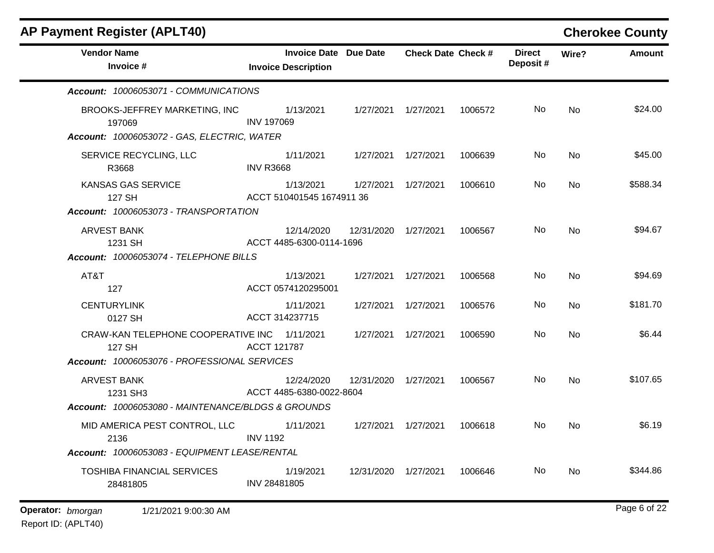| <b>AP Payment Register (APLT40)</b>                                                                              |                            |                                        |                      |                           |         |                           |           | <b>Cherokee County</b> |
|------------------------------------------------------------------------------------------------------------------|----------------------------|----------------------------------------|----------------------|---------------------------|---------|---------------------------|-----------|------------------------|
| <b>Vendor Name</b><br>Invoice #                                                                                  | <b>Invoice Description</b> | <b>Invoice Date Due Date</b>           |                      | <b>Check Date Check #</b> |         | <b>Direct</b><br>Deposit# | Wire?     | <b>Amount</b>          |
| Account: 10006053071 - COMMUNICATIONS                                                                            |                            |                                        |                      |                           |         |                           |           |                        |
| BROOKS-JEFFREY MARKETING, INC<br>197069<br>Account: 10006053072 - GAS, ELECTRIC, WATER                           | <b>INV 197069</b>          | 1/13/2021                              |                      | 1/27/2021  1/27/2021      | 1006572 | No.                       | No        | \$24.00                |
| SERVICE RECYCLING, LLC<br>R3668                                                                                  | <b>INV R3668</b>           | 1/11/2021                              | 1/27/2021  1/27/2021 |                           | 1006639 | No                        | No        | \$45.00                |
| KANSAS GAS SERVICE<br>127 SH                                                                                     | ACCT 510401545 1674911 36  | 1/13/2021                              | 1/27/2021            | 1/27/2021                 | 1006610 | No.                       | <b>No</b> | \$588.34               |
| Account: 10006053073 - TRANSPORTATION<br><b>ARVEST BANK</b><br>1231 SH<br>Account: 10006053074 - TELEPHONE BILLS | ACCT 4485-6300-0114-1696   | 12/14/2020                             | 12/31/2020           | 1/27/2021                 | 1006567 | No.                       | <b>No</b> | \$94.67                |
| AT&T<br>127                                                                                                      | ACCT 0574120295001         | 1/13/2021                              | 1/27/2021            | 1/27/2021                 | 1006568 | No.                       | No        | \$94.69                |
| <b>CENTURYLINK</b><br>0127 SH                                                                                    | ACCT 314237715             | 1/11/2021                              | 1/27/2021            | 1/27/2021                 | 1006576 | No.                       | No        | \$181.70               |
| CRAW-KAN TELEPHONE COOPERATIVE INC<br>127 SH                                                                     | <b>ACCT 121787</b>         | 1/11/2021                              | 1/27/2021            | 1/27/2021                 | 1006590 | No.                       | <b>No</b> | \$6.44                 |
| Account: 10006053076 - PROFESSIONAL SERVICES                                                                     |                            |                                        |                      |                           |         |                           |           |                        |
| <b>ARVEST BANK</b><br>1231 SH3                                                                                   |                            | 12/24/2020<br>ACCT 4485-6380-0022-8604 | 12/31/2020           | 1/27/2021                 | 1006567 | No                        | <b>No</b> | \$107.65               |
| Account: 10006053080 - MAINTENANCE/BLDGS & GROUNDS                                                               |                            |                                        |                      |                           |         |                           |           |                        |
| MID AMERICA PEST CONTROL, LLC<br>2136                                                                            | <b>INV 1192</b>            | 1/11/2021                              | 1/27/2021  1/27/2021 |                           | 1006618 | No.                       | <b>No</b> | \$6.19                 |
| Account: 10006053083 - EQUIPMENT LEASE/RENTAL                                                                    |                            |                                        |                      |                           |         |                           |           |                        |
| <b>TOSHIBA FINANCIAL SERVICES</b><br>28481805                                                                    | INV 28481805               | 1/19/2021                              | 12/31/2020           | 1/27/2021                 | 1006646 | No.                       | <b>No</b> | \$344.86               |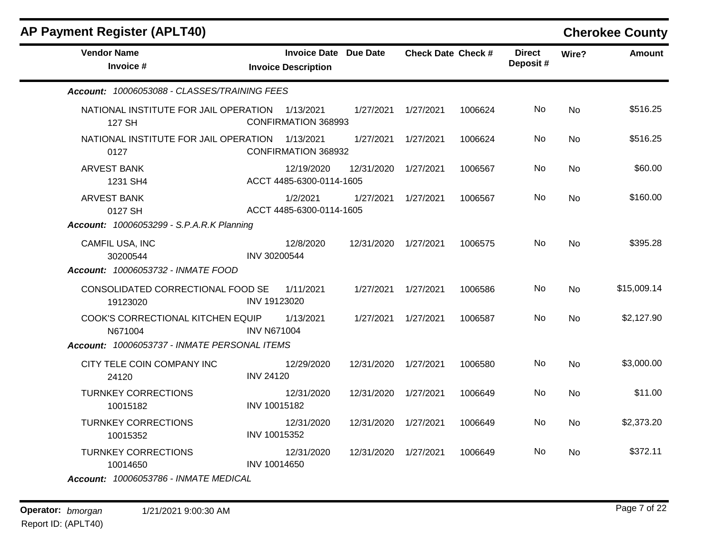| <b>AP Payment Register (APLT40)</b>                                                          |                    |                                                            |            |                           |         |                           |           | <b>Cherokee County</b> |
|----------------------------------------------------------------------------------------------|--------------------|------------------------------------------------------------|------------|---------------------------|---------|---------------------------|-----------|------------------------|
| <b>Vendor Name</b><br>Invoice #                                                              |                    | <b>Invoice Date Due Date</b><br><b>Invoice Description</b> |            | <b>Check Date Check #</b> |         | <b>Direct</b><br>Deposit# | Wire?     | Amount                 |
| Account: 10006053088 - CLASSES/TRAINING FEES                                                 |                    |                                                            |            |                           |         |                           |           |                        |
| NATIONAL INSTITUTE FOR JAIL OPERATION<br>127 SH                                              |                    | 1/13/2021<br><b>CONFIRMATION 368993</b>                    | 1/27/2021  | 1/27/2021                 | 1006624 | No                        | <b>No</b> | \$516.25               |
| NATIONAL INSTITUTE FOR JAIL OPERATION<br>0127                                                |                    | 1/13/2021<br>CONFIRMATION 368932                           | 1/27/2021  | 1/27/2021                 | 1006624 | No                        | No        | \$516.25               |
| <b>ARVEST BANK</b><br>1231 SH4                                                               |                    | 12/19/2020<br>ACCT 4485-6300-0114-1605                     | 12/31/2020 | 1/27/2021                 | 1006567 | No                        | <b>No</b> | \$60.00                |
| <b>ARVEST BANK</b><br>0127 SH<br><b>Account: 10006053299 - S.P.A.R.K Planning</b>            |                    | 1/2/2021<br>ACCT 4485-6300-0114-1605                       | 1/27/2021  | 1/27/2021                 | 1006567 | No                        | No        | \$160.00               |
| CAMFIL USA, INC<br>30200544<br>Account: 10006053732 - INMATE FOOD                            | INV 30200544       | 12/8/2020                                                  | 12/31/2020 | 1/27/2021                 | 1006575 | No                        | <b>No</b> | \$395.28               |
| CONSOLIDATED CORRECTIONAL FOOD SE<br>19123020                                                | INV 19123020       | 1/11/2021                                                  | 1/27/2021  | 1/27/2021                 | 1006586 | No                        | <b>No</b> | \$15,009.14            |
| COOK'S CORRECTIONAL KITCHEN EQUIP<br>N671004<br>Account: 10006053737 - INMATE PERSONAL ITEMS | <b>INV N671004</b> | 1/13/2021                                                  | 1/27/2021  | 1/27/2021                 | 1006587 | No                        | <b>No</b> | \$2,127.90             |
| CITY TELE COIN COMPANY INC<br>24120                                                          | <b>INV 24120</b>   | 12/29/2020                                                 | 12/31/2020 | 1/27/2021                 | 1006580 | No                        | <b>No</b> | \$3,000.00             |
| <b>TURNKEY CORRECTIONS</b><br>10015182                                                       | INV 10015182       | 12/31/2020                                                 | 12/31/2020 | 1/27/2021                 | 1006649 | No                        | No        | \$11.00                |
| <b>TURNKEY CORRECTIONS</b><br>10015352                                                       | INV 10015352       | 12/31/2020                                                 | 12/31/2020 | 1/27/2021                 | 1006649 | No                        | No        | \$2,373.20             |
| <b>TURNKEY CORRECTIONS</b><br>10014650                                                       | INV 10014650       | 12/31/2020                                                 | 12/31/2020 | 1/27/2021                 | 1006649 | No                        | No        | \$372.11               |

*Account: 10006053786 - INMATE MEDICAL*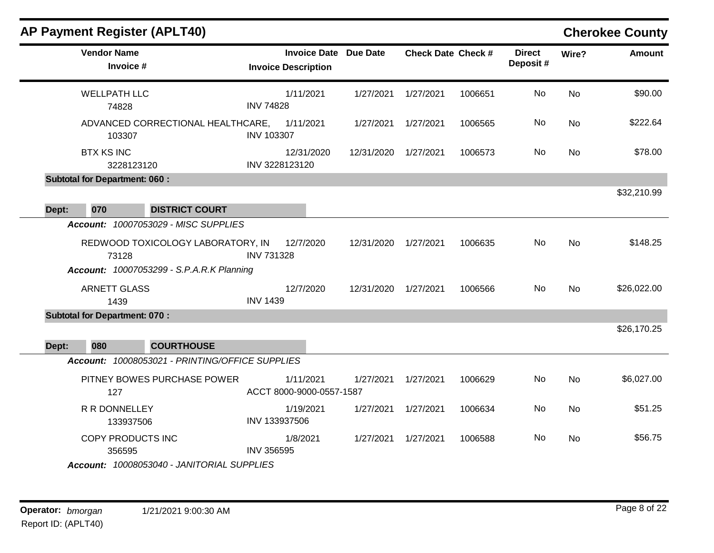|       | <b>AP Payment Register (APLT40)</b>                                                            |                   |                                                            |            |                           |         |                           |           | <b>Cherokee County</b> |
|-------|------------------------------------------------------------------------------------------------|-------------------|------------------------------------------------------------|------------|---------------------------|---------|---------------------------|-----------|------------------------|
|       | <b>Vendor Name</b><br>Invoice #                                                                |                   | <b>Invoice Date Due Date</b><br><b>Invoice Description</b> |            | <b>Check Date Check #</b> |         | <b>Direct</b><br>Deposit# | Wire?     | <b>Amount</b>          |
|       | <b>WELLPATH LLC</b><br>74828                                                                   | <b>INV 74828</b>  | 1/11/2021                                                  | 1/27/2021  | 1/27/2021                 | 1006651 | <b>No</b>                 | <b>No</b> | \$90.00                |
|       | ADVANCED CORRECTIONAL HEALTHCARE,<br>103307                                                    | <b>INV 103307</b> | 1/11/2021                                                  | 1/27/2021  | 1/27/2021                 | 1006565 | No                        | <b>No</b> | \$222.64               |
|       | <b>BTX KS INC</b><br>3228123120                                                                |                   | 12/31/2020<br>INV 3228123120                               | 12/31/2020 | 1/27/2021                 | 1006573 | No                        | No        | \$78.00                |
|       | <b>Subtotal for Department: 060:</b>                                                           |                   |                                                            |            |                           |         |                           |           |                        |
| Dept: | 070<br><b>DISTRICT COURT</b>                                                                   |                   |                                                            |            |                           |         |                           |           | \$32,210.99            |
|       | <b>Account: 10007053029 - MISC SUPPLIES</b>                                                    |                   |                                                            |            |                           |         |                           |           |                        |
|       | REDWOOD TOXICOLOGY LABORATORY, IN<br>73128<br><b>Account: 10007053299 - S.P.A.R.K Planning</b> | <b>INV 731328</b> | 12/7/2020                                                  | 12/31/2020 | 1/27/2021                 | 1006635 | No                        | <b>No</b> | \$148.25               |
|       | <b>ARNETT GLASS</b><br>1439                                                                    | <b>INV 1439</b>   | 12/7/2020                                                  | 12/31/2020 | 1/27/2021                 | 1006566 | No                        | <b>No</b> | \$26,022.00            |
|       | <b>Subtotal for Department: 070:</b>                                                           |                   |                                                            |            |                           |         |                           |           |                        |
| Dept: | 080<br><b>COURTHOUSE</b>                                                                       |                   |                                                            |            |                           |         |                           |           | \$26,170.25            |
|       | Account: 10008053021 - PRINTING/OFFICE SUPPLIES                                                |                   |                                                            |            |                           |         |                           |           |                        |
|       | PITNEY BOWES PURCHASE POWER<br>127                                                             |                   | 1/11/2021<br>ACCT 8000-9000-0557-1587                      | 1/27/2021  | 1/27/2021                 | 1006629 | No                        | No        | \$6,027.00             |
|       | R R DONNELLEY<br>133937506                                                                     | INV 133937506     | 1/19/2021                                                  | 1/27/2021  | 1/27/2021                 | 1006634 | No                        | <b>No</b> | \$51.25                |
|       | <b>COPY PRODUCTS INC</b><br>356595                                                             | <b>INV 356595</b> | 1/8/2021                                                   | 1/27/2021  | 1/27/2021                 | 1006588 | No                        | <b>No</b> | \$56.75                |
|       | Account: 10008053040 - JANITORIAL SUPPLIES                                                     |                   |                                                            |            |                           |         |                           |           |                        |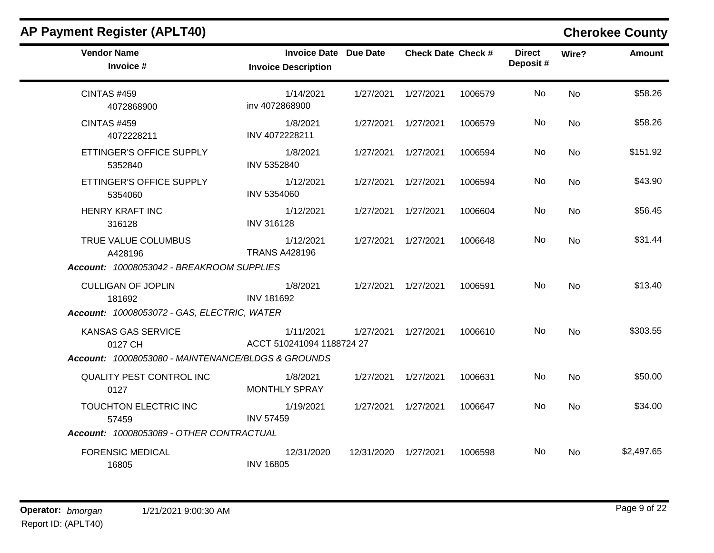| <b>Vendor Name</b><br>Invoice #                    | <b>Invoice Date Due Date</b><br><b>Invoice Description</b> |                      | <b>Check Date Check #</b> |         | <b>Direct</b><br>Deposit# | Wire?     | <b>Amount</b> |
|----------------------------------------------------|------------------------------------------------------------|----------------------|---------------------------|---------|---------------------------|-----------|---------------|
| <b>CINTAS #459</b><br>4072868900                   | 1/14/2021<br>inv 4072868900                                | 1/27/2021 1/27/2021  |                           | 1006579 | <b>No</b>                 | <b>No</b> | \$58.26       |
| <b>CINTAS #459</b><br>4072228211                   | 1/8/2021<br>INV 4072228211                                 | 1/27/2021  1/27/2021 |                           | 1006579 | No                        | No        | \$58.26       |
| ETTINGER'S OFFICE SUPPLY<br>5352840                | 1/8/2021<br>INV 5352840                                    | 1/27/2021  1/27/2021 |                           | 1006594 | <b>No</b>                 | <b>No</b> | \$151.92      |
| ETTINGER'S OFFICE SUPPLY<br>5354060                | 1/12/2021<br>INV 5354060                                   | 1/27/2021  1/27/2021 |                           | 1006594 | No                        | <b>No</b> | \$43.90       |
| <b>HENRY KRAFT INC</b><br>316128                   | 1/12/2021<br><b>INV 316128</b>                             | 1/27/2021  1/27/2021 |                           | 1006604 | No                        | <b>No</b> | \$56.45       |
| TRUE VALUE COLUMBUS<br>A428196                     | 1/12/2021<br><b>TRANS A428196</b>                          | 1/27/2021  1/27/2021 |                           | 1006648 | No                        | <b>No</b> | \$31.44       |
| Account: 10008053042 - BREAKROOM SUPPLIES          |                                                            |                      |                           |         |                           |           |               |
| <b>CULLIGAN OF JOPLIN</b><br>181692                | 1/8/2021<br><b>INV 181692</b>                              | 1/27/2021  1/27/2021 |                           | 1006591 | No                        | <b>No</b> | \$13.40       |
| Account: 10008053072 - GAS, ELECTRIC, WATER        |                                                            |                      |                           |         |                           |           |               |
| KANSAS GAS SERVICE<br>0127 CH                      | 1/11/2021<br>ACCT 510241094 1188724 27                     | 1/27/2021  1/27/2021 |                           | 1006610 | No                        | <b>No</b> | \$303.55      |
| Account: 10008053080 - MAINTENANCE/BLDGS & GROUNDS |                                                            |                      |                           |         |                           |           |               |
| QUALITY PEST CONTROL INC<br>0127                   | 1/8/2021<br><b>MONTHLY SPRAY</b>                           | 1/27/2021  1/27/2021 |                           | 1006631 | No                        | No        | \$50.00       |
| TOUCHTON ELECTRIC INC<br>57459                     | 1/19/2021<br><b>INV 57459</b>                              | 1/27/2021  1/27/2021 |                           | 1006647 | No                        | <b>No</b> | \$34.00       |
| Account: 10008053089 - OTHER CONTRACTUAL           |                                                            |                      |                           |         |                           |           |               |
| <b>FORENSIC MEDICAL</b><br>16805                   | 12/31/2020<br><b>INV 16805</b>                             | 12/31/2020 1/27/2021 |                           | 1006598 | No.                       | No        | \$2,497.65    |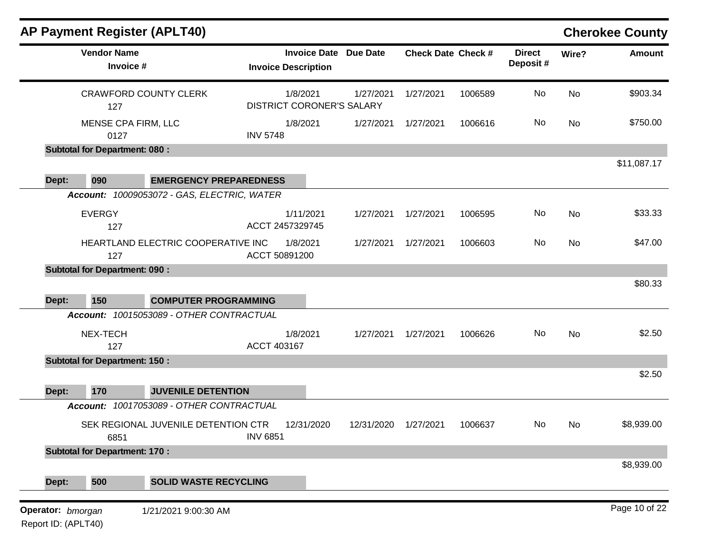|                   |                                      | <b>AP Payment Register (APLT40)</b>         |                               |                                        |           |                           |                           |           | <b>Cherokee County</b> |
|-------------------|--------------------------------------|---------------------------------------------|-------------------------------|----------------------------------------|-----------|---------------------------|---------------------------|-----------|------------------------|
|                   | <b>Vendor Name</b><br>Invoice #      |                                             | <b>Invoice Description</b>    | <b>Invoice Date Due Date</b>           |           | <b>Check Date Check #</b> | <b>Direct</b><br>Deposit# | Wire?     | <b>Amount</b>          |
|                   | 127                                  | <b>CRAWFORD COUNTY CLERK</b>                | 1/8/2021                      | 1/27/2021<br>DISTRICT CORONER'S SALARY | 1/27/2021 | 1006589                   | No                        | <b>No</b> | \$903.34               |
|                   | MENSE CPA FIRM, LLC<br>0127          |                                             | 1/8/2021<br><b>INV 5748</b>   | 1/27/2021                              | 1/27/2021 | 1006616                   | No                        | No        | \$750.00               |
|                   | <b>Subtotal for Department: 080:</b> |                                             |                               |                                        |           |                           |                           |           |                        |
| Dept:             | 090                                  | <b>EMERGENCY PREPAREDNESS</b>               |                               |                                        |           |                           |                           |           | \$11,087.17            |
|                   |                                      | Account: 10009053072 - GAS, ELECTRIC, WATER |                               |                                        |           |                           |                           |           |                        |
|                   | <b>EVERGY</b><br>127                 |                                             | 1/11/2021<br>ACCT 2457329745  | 1/27/2021                              | 1/27/2021 | 1006595                   | No                        | No        | \$33.33                |
|                   | 127                                  | HEARTLAND ELECTRIC COOPERATIVE INC          | 1/8/2021<br>ACCT 50891200     | 1/27/2021                              | 1/27/2021 | 1006603                   | No                        | <b>No</b> | \$47.00                |
|                   | <b>Subtotal for Department: 090:</b> |                                             |                               |                                        |           |                           |                           |           | \$80.33                |
| Dept:             | 150                                  | <b>COMPUTER PROGRAMMING</b>                 |                               |                                        |           |                           |                           |           |                        |
|                   |                                      | Account: 10015053089 - OTHER CONTRACTUAL    |                               |                                        |           |                           |                           |           |                        |
|                   | NEX-TECH<br>127                      |                                             | 1/8/2021<br>ACCT 403167       | 1/27/2021                              | 1/27/2021 | 1006626                   | No                        | No        | \$2.50                 |
|                   | <b>Subtotal for Department: 150:</b> |                                             |                               |                                        |           |                           |                           |           |                        |
| Dept:             | 170                                  | <b>JUVENILE DETENTION</b>                   |                               |                                        |           |                           |                           |           | \$2.50                 |
|                   |                                      | Account: 10017053089 - OTHER CONTRACTUAL    |                               |                                        |           |                           |                           |           |                        |
|                   | 6851                                 | SEK REGIONAL JUVENILE DETENTION CTR         | 12/31/2020<br><b>INV 6851</b> | 12/31/2020                             | 1/27/2021 | 1006637                   | No                        | No.       | \$8,939.00             |
|                   | <b>Subtotal for Department: 170:</b> |                                             |                               |                                        |           |                           |                           |           |                        |
| Dept:             | 500                                  | <b>SOLID WASTE RECYCLING</b>                |                               |                                        |           |                           |                           |           | \$8,939.00             |
| Operator: bmorgan |                                      | 1/21/2021 9:00:30 AM                        |                               |                                        |           |                           |                           |           | Page 10 of 22          |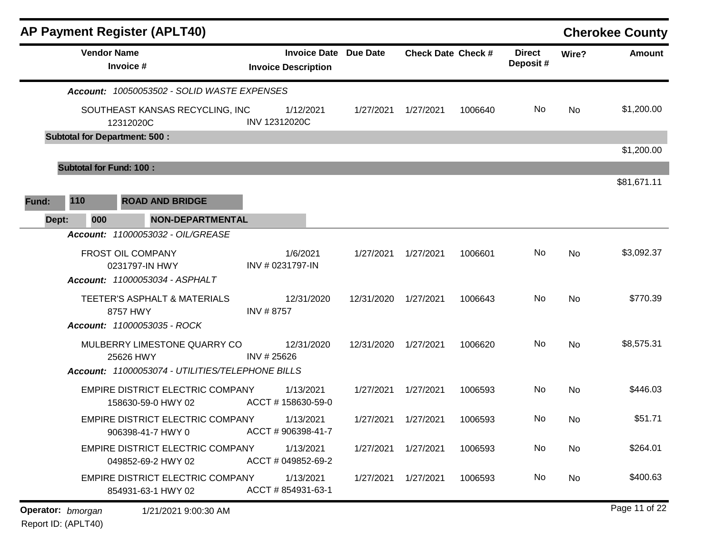|       | <b>AP Payment Register (APLT40)</b>                           |                                                            |            |                           |         |                           |           | <b>Cherokee County</b> |
|-------|---------------------------------------------------------------|------------------------------------------------------------|------------|---------------------------|---------|---------------------------|-----------|------------------------|
|       | <b>Vendor Name</b><br>Invoice #                               | <b>Invoice Date Due Date</b><br><b>Invoice Description</b> |            | <b>Check Date Check #</b> |         | <b>Direct</b><br>Deposit# | Wire?     | <b>Amount</b>          |
|       | Account: 10050053502 - SOLID WASTE EXPENSES                   |                                                            |            |                           |         |                           |           |                        |
|       | SOUTHEAST KANSAS RECYCLING, INC<br>12312020C                  | 1/12/2021<br>INV 12312020C                                 | 1/27/2021  | 1/27/2021                 | 1006640 | No                        | No        | \$1,200.00             |
|       | <b>Subtotal for Department: 500:</b>                          |                                                            |            |                           |         |                           |           |                        |
|       | <b>Subtotal for Fund: 100:</b>                                |                                                            |            |                           |         |                           |           | \$1,200.00             |
|       |                                                               |                                                            |            |                           |         |                           |           | \$81,671.11            |
| Fund: | 110<br><b>ROAD AND BRIDGE</b>                                 |                                                            |            |                           |         |                           |           |                        |
| Dept: | 000<br><b>NON-DEPARTMENTAL</b>                                |                                                            |            |                           |         |                           |           |                        |
|       | Account: 11000053032 - OIL/GREASE                             |                                                            |            |                           |         |                           |           |                        |
|       | FROST OIL COMPANY                                             | 1/6/2021                                                   | 1/27/2021  | 1/27/2021                 | 1006601 | No                        | <b>No</b> | \$3,092.37             |
|       | 0231797-IN HWY<br>Account: 11000053034 - ASPHALT              | INV # 0231797-IN                                           |            |                           |         |                           |           |                        |
|       | <b>TEETER'S ASPHALT &amp; MATERIALS</b>                       | 12/31/2020                                                 | 12/31/2020 | 1/27/2021                 | 1006643 | No                        | No        | \$770.39               |
|       | 8757 HWY                                                      | INV #8757                                                  |            |                           |         |                           |           |                        |
|       | Account: 11000053035 - ROCK                                   |                                                            |            |                           |         |                           |           |                        |
|       | MULBERRY LIMESTONE QUARRY CO                                  | 12/31/2020                                                 | 12/31/2020 | 1/27/2021                 | 1006620 | No                        | No        | \$8,575.31             |
|       | 25626 HWY<br>Account: 11000053074 - UTILITIES/TELEPHONE BILLS | INV #25626                                                 |            |                           |         |                           |           |                        |
|       | EMPIRE DISTRICT ELECTRIC COMPANY                              | 1/13/2021                                                  | 1/27/2021  | 1/27/2021                 | 1006593 | No                        | No        | \$446.03               |
|       | 158630-59-0 HWY 02                                            | ACCT #158630-59-0                                          |            |                           |         |                           |           |                        |
|       | <b>EMPIRE DISTRICT ELECTRIC COMPANY</b>                       | 1/13/2021                                                  | 1/27/2021  | 1/27/2021                 | 1006593 | No                        | No        | \$51.71                |
|       | 906398-41-7 HWY 0                                             | ACCT # 906398-41-7                                         |            |                           |         |                           |           |                        |
|       | EMPIRE DISTRICT ELECTRIC COMPANY<br>049852-69-2 HWY 02        | 1/13/2021<br>ACCT # 049852-69-2                            | 1/27/2021  | 1/27/2021                 | 1006593 | No                        | No        | \$264.01               |
|       | EMPIRE DISTRICT ELECTRIC COMPANY<br>854931-63-1 HWY 02        | 1/13/2021<br>ACCT # 854931-63-1                            | 1/27/2021  | 1/27/2021                 | 1006593 | No                        | No        | \$400.63               |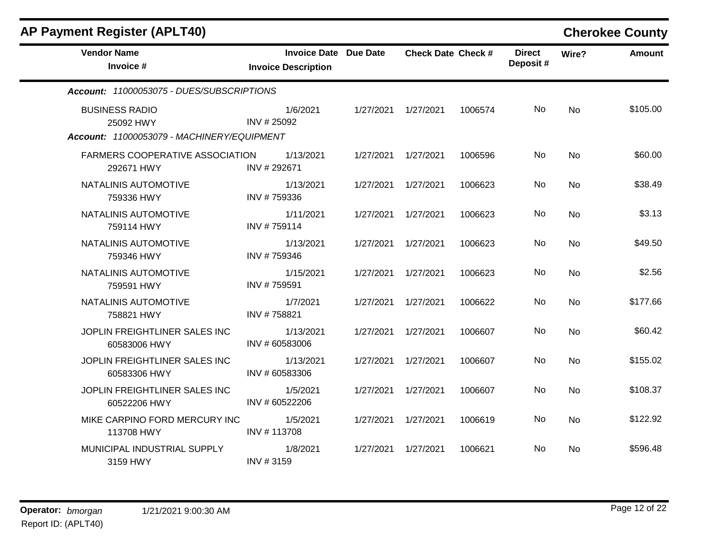| <b>AP Payment Register (APLT40)</b>                                              |                                                            |           |                           |         |                           |           | <b>Cherokee County</b> |
|----------------------------------------------------------------------------------|------------------------------------------------------------|-----------|---------------------------|---------|---------------------------|-----------|------------------------|
| <b>Vendor Name</b><br>Invoice #                                                  | <b>Invoice Date Due Date</b><br><b>Invoice Description</b> |           | <b>Check Date Check #</b> |         | <b>Direct</b><br>Deposit# | Wire?     | <b>Amount</b>          |
| Account: 11000053075 - DUES/SUBSCRIPTIONS                                        |                                                            |           |                           |         |                           |           |                        |
| <b>BUSINESS RADIO</b><br>25092 HWY<br>Account: 11000053079 - MACHINERY/EQUIPMENT | 1/6/2021<br>INV #25092                                     | 1/27/2021 | 1/27/2021                 | 1006574 | No                        | <b>No</b> | \$105.00               |
| FARMERS COOPERATIVE ASSOCIATION<br>292671 HWY                                    | 1/13/2021<br>INV #292671                                   | 1/27/2021 | 1/27/2021                 | 1006596 | No.                       | No        | \$60.00                |
| NATALINIS AUTOMOTIVE<br>759336 HWY                                               | 1/13/2021<br>INV #759336                                   | 1/27/2021 | 1/27/2021                 | 1006623 | No                        | <b>No</b> | \$38.49                |
| NATALINIS AUTOMOTIVE<br>759114 HWY                                               | 1/11/2021<br>INV #759114                                   | 1/27/2021 | 1/27/2021                 | 1006623 | No                        | No        | \$3.13                 |
| NATALINIS AUTOMOTIVE<br>759346 HWY                                               | 1/13/2021<br>INV #759346                                   | 1/27/2021 | 1/27/2021                 | 1006623 | No.                       | <b>No</b> | \$49.50                |
| NATALINIS AUTOMOTIVE<br>759591 HWY                                               | 1/15/2021<br>INV #759591                                   | 1/27/2021 | 1/27/2021                 | 1006623 | No                        | <b>No</b> | \$2.56                 |
| NATALINIS AUTOMOTIVE<br>758821 HWY                                               | 1/7/2021<br>INV #758821                                    | 1/27/2021 | 1/27/2021                 | 1006622 | No                        | No        | \$177.66               |
| JOPLIN FREIGHTLINER SALES INC<br>60583006 HWY                                    | 1/13/2021<br>INV # 60583006                                | 1/27/2021 | 1/27/2021                 | 1006607 | <b>No</b>                 | <b>No</b> | \$60.42                |
| JOPLIN FREIGHTLINER SALES INC<br>60583306 HWY                                    | 1/13/2021<br>INV # 60583306                                | 1/27/2021 | 1/27/2021                 | 1006607 | No.                       | No        | \$155.02               |
| JOPLIN FREIGHTLINER SALES INC<br>60522206 HWY                                    | 1/5/2021<br>INV # 60522206                                 |           | 1/27/2021  1/27/2021      | 1006607 | No.                       | No        | \$108.37               |
| MIKE CARPINO FORD MERCURY INC<br>113708 HWY                                      | 1/5/2021<br>INV #113708                                    |           | 1/27/2021  1/27/2021      | 1006619 | No.                       | <b>No</b> | \$122.92               |
| MUNICIPAL INDUSTRIAL SUPPLY<br>3159 HWY                                          | 1/8/2021<br>INV #3159                                      | 1/27/2021 | 1/27/2021                 | 1006621 | No.                       | <b>No</b> | \$596.48               |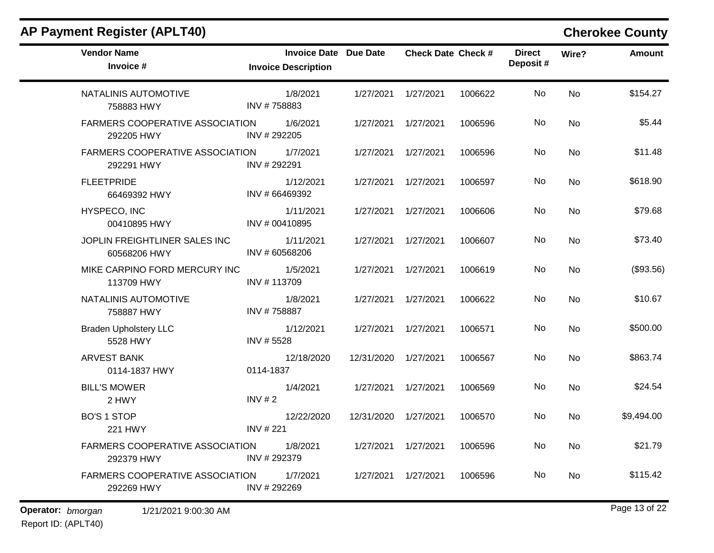$\blacksquare$ 

| <b>Vendor Name</b><br>Invoice #               | <b>Invoice Date Due Date</b><br><b>Invoice Description</b> |            | <b>Check Date Check #</b> |         | <b>Direct</b><br>Deposit# | Wire?     | <b>Amount</b> |
|-----------------------------------------------|------------------------------------------------------------|------------|---------------------------|---------|---------------------------|-----------|---------------|
| NATALINIS AUTOMOTIVE<br>758883 HWY            | 1/8/2021<br>INV #758883                                    | 1/27/2021  | 1/27/2021                 | 1006622 | No                        | <b>No</b> | \$154.27      |
| FARMERS COOPERATIVE ASSOCIATION<br>292205 HWY | 1/6/2021<br>INV #292205                                    | 1/27/2021  | 1/27/2021                 | 1006596 | No                        | <b>No</b> | \$5.44        |
| FARMERS COOPERATIVE ASSOCIATION<br>292291 HWY | 1/7/2021<br>INV #292291                                    | 1/27/2021  | 1/27/2021                 | 1006596 | No                        | No        | \$11.48       |
| <b>FLEETPRIDE</b><br>66469392 HWY             | 1/12/2021<br>INV # 66469392                                | 1/27/2021  | 1/27/2021                 | 1006597 | No                        | <b>No</b> | \$618.90      |
| HYSPECO, INC<br>00410895 HWY                  | 1/11/2021<br>INV # 00410895                                | 1/27/2021  | 1/27/2021                 | 1006606 | No.                       | No        | \$79.68       |
| JOPLIN FREIGHTLINER SALES INC<br>60568206 HWY | 1/11/2021<br>INV # 60568206                                | 1/27/2021  | 1/27/2021                 | 1006607 | No                        | No        | \$73.40       |
| MIKE CARPINO FORD MERCURY INC<br>113709 HWY   | 1/5/2021<br>INV #113709                                    | 1/27/2021  | 1/27/2021                 | 1006619 | No.                       | No        | (\$93.56)     |
| NATALINIS AUTOMOTIVE<br>758887 HWY            | 1/8/2021<br>INV #758887                                    | 1/27/2021  | 1/27/2021                 | 1006622 | No                        | No        | \$10.67       |
| <b>Braden Upholstery LLC</b><br>5528 HWY      | 1/12/2021<br>INV #5528                                     | 1/27/2021  | 1/27/2021                 | 1006571 | <b>No</b>                 | <b>No</b> | \$500.00      |
| <b>ARVEST BANK</b><br>0114-1837 HWY           | 12/18/2020<br>0114-1837                                    | 12/31/2020 | 1/27/2021                 | 1006567 | No.                       | No        | \$863.74      |
| <b>BILL'S MOWER</b><br>2 HWY                  | 1/4/2021<br>INV $# 2$                                      | 1/27/2021  | 1/27/2021                 | 1006569 | No                        | <b>No</b> | \$24.54       |
| <b>BO'S 1 STOP</b><br>221 HWY                 | 12/22/2020<br><b>INV #221</b>                              | 12/31/2020 | 1/27/2021                 | 1006570 | No.                       | No        | \$9,494.00    |
| FARMERS COOPERATIVE ASSOCIATION<br>292379 HWY | 1/8/2021<br>INV #292379                                    | 1/27/2021  | 1/27/2021                 | 1006596 | <b>No</b>                 | <b>No</b> | \$21.79       |
| FARMERS COOPERATIVE ASSOCIATION<br>292269 HWY | 1/7/2021<br>INV #292269                                    | 1/27/2021  | 1/27/2021                 | 1006596 | No.                       | No        | \$115.42      |
|                                               |                                                            |            |                           |         |                           |           |               |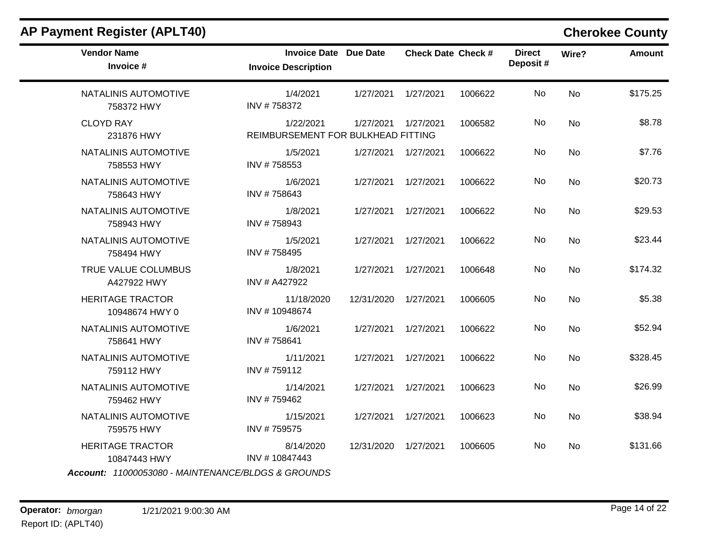| AP Payment Register (APLT40)              |                                                     |                      |                           |         |                           |           | <b>Cherokee County</b> |
|-------------------------------------------|-----------------------------------------------------|----------------------|---------------------------|---------|---------------------------|-----------|------------------------|
| <b>Vendor Name</b><br>Invoice #           | Invoice Date Due Date<br><b>Invoice Description</b> |                      | <b>Check Date Check #</b> |         | <b>Direct</b><br>Deposit# | Wire?     | <b>Amount</b>          |
| NATALINIS AUTOMOTIVE<br>758372 HWY        | 1/4/2021<br>INV #758372                             |                      | 1/27/2021  1/27/2021      | 1006622 | No.                       | <b>No</b> | \$175.25               |
| <b>CLOYD RAY</b><br>231876 HWY            | 1/22/2021<br>REIMBURSEMENT FOR BULKHEAD FITTING     |                      | 1/27/2021  1/27/2021      | 1006582 | No                        | No        | \$8.78                 |
| NATALINIS AUTOMOTIVE<br>758553 HWY        | 1/5/2021<br>INV #758553                             |                      | 1/27/2021  1/27/2021      | 1006622 | No.                       | No        | \$7.76                 |
| NATALINIS AUTOMOTIVE<br>758643 HWY        | 1/6/2021<br>INV #758643                             | 1/27/2021            | 1/27/2021                 | 1006622 | No.                       | No        | \$20.73                |
| NATALINIS AUTOMOTIVE<br>758943 HWY        | 1/8/2021<br>INV #758943                             | 1/27/2021            | 1/27/2021                 | 1006622 | No                        | No        | \$29.53                |
| NATALINIS AUTOMOTIVE<br>758494 HWY        | 1/5/2021<br>INV #758495                             |                      | 1/27/2021  1/27/2021      | 1006622 | No.                       | <b>No</b> | \$23.44                |
| TRUE VALUE COLUMBUS<br>A427922 HWY        | 1/8/2021<br>INV # A427922                           | 1/27/2021            | 1/27/2021                 | 1006648 | No                        | <b>No</b> | \$174.32               |
| <b>HERITAGE TRACTOR</b><br>10948674 HWY 0 | 11/18/2020<br>INV #10948674                         | 12/31/2020 1/27/2021 |                           | 1006605 | No.                       | No        | \$5.38                 |
| NATALINIS AUTOMOTIVE<br>758641 HWY        | 1/6/2021<br>INV #758641                             | 1/27/2021            | 1/27/2021                 | 1006622 | No.                       | <b>No</b> | \$52.94                |
| NATALINIS AUTOMOTIVE<br>759112 HWY        | 1/11/2021<br>INV #759112                            | 1/27/2021            | 1/27/2021                 | 1006622 | No                        | <b>No</b> | \$328.45               |
| NATALINIS AUTOMOTIVE<br>759462 HWY        | 1/14/2021<br>INV #759462                            | 1/27/2021            | 1/27/2021                 | 1006623 | No.                       | No        | \$26.99                |
| NATALINIS AUTOMOTIVE<br>759575 HWY        | 1/15/2021<br>INV #759575                            | 1/27/2021            | 1/27/2021                 | 1006623 | No.                       | No        | \$38.94                |
| <b>HERITAGE TRACTOR</b><br>10847443 HWY   | 8/14/2020<br>INV #10847443                          | 12/31/2020 1/27/2021 |                           | 1006605 | No.                       | No        | \$131.66               |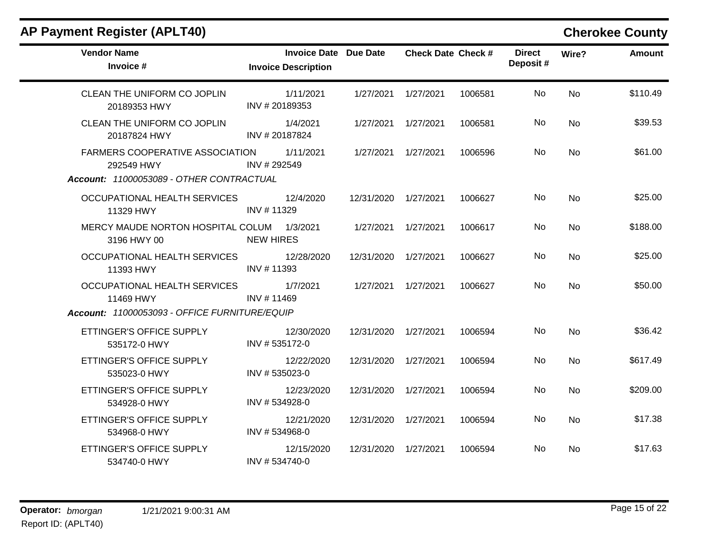|  |  |  | <b>AP Payment Register (APLT40)</b> |
|--|--|--|-------------------------------------|
|--|--|--|-------------------------------------|

# **Cherokee County**

| <b>Vendor Name</b><br>Invoice #                           | <b>Invoice Date Due Date</b><br><b>Invoice Description</b> |                      | <b>Check Date Check #</b> |         | <b>Direct</b><br>Deposit# | Wire?     | <b>Amount</b> |
|-----------------------------------------------------------|------------------------------------------------------------|----------------------|---------------------------|---------|---------------------------|-----------|---------------|
| CLEAN THE UNIFORM CO JOPLIN<br>20189353 HWY               | 1/11/2021<br>INV #20189353                                 | 1/27/2021            | 1/27/2021                 | 1006581 | No.                       | <b>No</b> | \$110.49      |
| CLEAN THE UNIFORM CO JOPLIN<br>20187824 HWY               | 1/4/2021<br>INV # 20187824                                 |                      | 1/27/2021  1/27/2021      | 1006581 | No.                       | No        | \$39.53       |
| FARMERS COOPERATIVE ASSOCIATION<br>292549 HWY             | 1/11/2021<br>INV # 292549                                  | 1/27/2021            | 1/27/2021                 | 1006596 | No                        | <b>No</b> | \$61.00       |
| Account: 11000053089 - OTHER CONTRACTUAL                  |                                                            |                      |                           |         |                           |           |               |
| OCCUPATIONAL HEALTH SERVICES<br>11329 HWY                 | 12/4/2020<br>INV #11329                                    | 12/31/2020 1/27/2021 |                           | 1006627 | No                        | <b>No</b> | \$25.00       |
| MERCY MAUDE NORTON HOSPITAL COLUM 1/3/2021<br>3196 HWY 00 | <b>NEW HIRES</b>                                           | 1/27/2021            | 1/27/2021                 | 1006617 | No.                       | <b>No</b> | \$188.00      |
| OCCUPATIONAL HEALTH SERVICES<br>11393 HWY                 | 12/28/2020<br>INV # 11393                                  | 12/31/2020 1/27/2021 |                           | 1006627 | No.                       | <b>No</b> | \$25.00       |
| OCCUPATIONAL HEALTH SERVICES<br>11469 HWY                 | 1/7/2021<br>INV #11469                                     | 1/27/2021            | 1/27/2021                 | 1006627 | No                        | <b>No</b> | \$50.00       |
| Account: 11000053093 - OFFICE FURNITURE/EQUIP             |                                                            |                      |                           |         |                           |           |               |
| ETTINGER'S OFFICE SUPPLY<br>535172-0 HWY                  | 12/30/2020<br>INV #535172-0                                | 12/31/2020           | 1/27/2021                 | 1006594 | No                        | <b>No</b> | \$36.42       |
| ETTINGER'S OFFICE SUPPLY<br>535023-0 HWY                  | 12/22/2020<br>INV #535023-0                                | 12/31/2020 1/27/2021 |                           | 1006594 | No.                       | No        | \$617.49      |
| ETTINGER'S OFFICE SUPPLY<br>534928-0 HWY                  | 12/23/2020<br>INV #534928-0                                | 12/31/2020           | 1/27/2021                 | 1006594 | No.                       | No        | \$209.00      |
| ETTINGER'S OFFICE SUPPLY<br>534968-0 HWY                  | 12/21/2020<br>INV #534968-0                                | 12/31/2020 1/27/2021 |                           | 1006594 | No                        | No        | \$17.38       |
| ETTINGER'S OFFICE SUPPLY<br>534740-0 HWY                  | 12/15/2020<br>INV #534740-0                                | 12/31/2020           | 1/27/2021                 | 1006594 | No.                       | <b>No</b> | \$17.63       |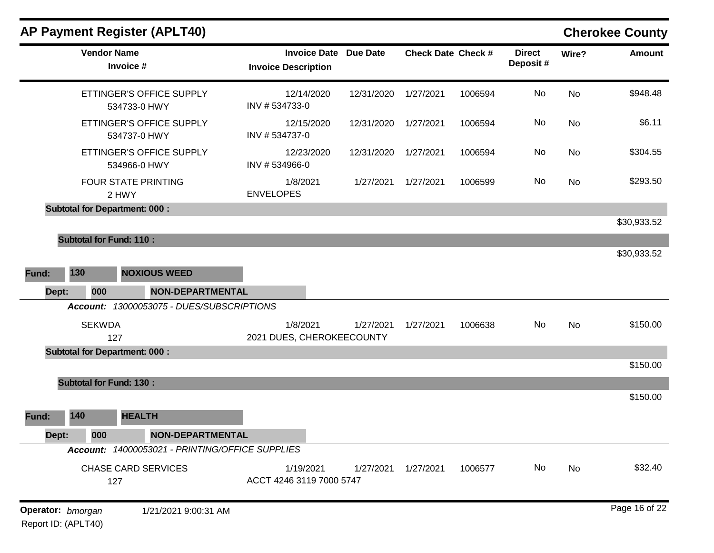|       | <b>AP Payment Register (APLT40)</b>             |                                                            |            |                           |         |                           |           | <b>Cherokee County</b> |
|-------|-------------------------------------------------|------------------------------------------------------------|------------|---------------------------|---------|---------------------------|-----------|------------------------|
|       | <b>Vendor Name</b><br>Invoice #                 | <b>Invoice Date Due Date</b><br><b>Invoice Description</b> |            | <b>Check Date Check #</b> |         | <b>Direct</b><br>Deposit# | Wire?     | <b>Amount</b>          |
|       | ETTINGER'S OFFICE SUPPLY<br>534733-0 HWY        | 12/14/2020<br>INV #534733-0                                | 12/31/2020 | 1/27/2021                 | 1006594 | No                        | <b>No</b> | \$948.48               |
|       | ETTINGER'S OFFICE SUPPLY<br>534737-0 HWY        | 12/15/2020<br>INV #534737-0                                | 12/31/2020 | 1/27/2021                 | 1006594 | No                        | No        | \$6.11                 |
|       | ETTINGER'S OFFICE SUPPLY<br>534966-0 HWY        | 12/23/2020<br>INV #534966-0                                | 12/31/2020 | 1/27/2021                 | 1006594 | No                        | No        | \$304.55               |
|       | FOUR STATE PRINTING<br>2 HWY                    | 1/8/2021<br><b>ENVELOPES</b>                               | 1/27/2021  | 1/27/2021                 | 1006599 | No                        | No        | \$293.50               |
|       | <b>Subtotal for Department: 000:</b>            |                                                            |            |                           |         |                           |           |                        |
|       |                                                 |                                                            |            |                           |         |                           |           | \$30,933.52            |
|       | <b>Subtotal for Fund: 110:</b>                  |                                                            |            |                           |         |                           |           |                        |
|       |                                                 |                                                            |            |                           |         |                           |           | \$30,933.52            |
| Fund: | 130<br><b>NOXIOUS WEED</b>                      |                                                            |            |                           |         |                           |           |                        |
| Dept: | 000<br><b>NON-DEPARTMENTAL</b>                  |                                                            |            |                           |         |                           |           |                        |
|       | Account: 13000053075 - DUES/SUBSCRIPTIONS       |                                                            |            |                           |         |                           |           |                        |
|       | <b>SEKWDA</b>                                   | 1/8/2021                                                   | 1/27/2021  | 1/27/2021                 | 1006638 | No                        | No        | \$150.00               |
|       | 127                                             | 2021 DUES, CHEROKEECOUNTY                                  |            |                           |         |                           |           |                        |
|       | <b>Subtotal for Department: 000:</b>            |                                                            |            |                           |         |                           |           |                        |
|       |                                                 |                                                            |            |                           |         |                           |           | \$150.00               |
|       | <b>Subtotal for Fund: 130:</b>                  |                                                            |            |                           |         |                           |           |                        |
|       |                                                 |                                                            |            |                           |         |                           |           | \$150.00               |
| Fund: | 140<br><b>HEALTH</b>                            |                                                            |            |                           |         |                           |           |                        |
| Dept: | <b>NON-DEPARTMENTAL</b><br>000                  |                                                            |            |                           |         |                           |           |                        |
|       | Account: 14000053021 - PRINTING/OFFICE SUPPLIES |                                                            |            |                           |         |                           |           |                        |
|       | <b>CHASE CARD SERVICES</b><br>127               | 1/19/2021<br>ACCT 4246 3119 7000 5747                      | 1/27/2021  | 1/27/2021                 | 1006577 | No                        | No        | \$32.40                |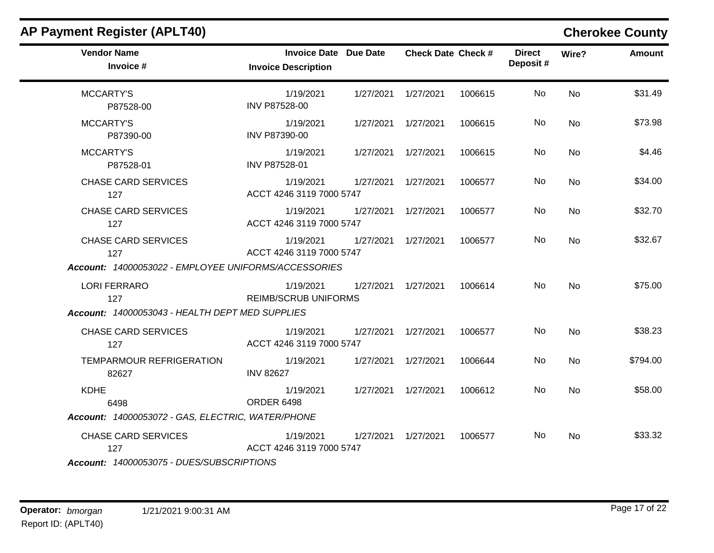| <b>AP Payment Register (APLT40)</b>                                                       |                                                            |           |                           |         |                           |           | <b>Cherokee County</b> |
|-------------------------------------------------------------------------------------------|------------------------------------------------------------|-----------|---------------------------|---------|---------------------------|-----------|------------------------|
| <b>Vendor Name</b><br>Invoice #                                                           | <b>Invoice Date Due Date</b><br><b>Invoice Description</b> |           | <b>Check Date Check #</b> |         | <b>Direct</b><br>Deposit# | Wire?     | <b>Amount</b>          |
| <b>MCCARTY'S</b><br>P87528-00                                                             | 1/19/2021<br>INV P87528-00                                 |           | 1/27/2021  1/27/2021      | 1006615 | No.                       | No        | \$31.49                |
| <b>MCCARTY'S</b><br>P87390-00                                                             | 1/19/2021<br>INV P87390-00                                 |           | 1/27/2021  1/27/2021      | 1006615 | No                        | <b>No</b> | \$73.98                |
| <b>MCCARTY'S</b><br>P87528-01                                                             | 1/19/2021<br>INV P87528-01                                 |           | 1/27/2021  1/27/2021      | 1006615 | No                        | No        | \$4.46                 |
| <b>CHASE CARD SERVICES</b><br>127                                                         | 1/19/2021<br>ACCT 4246 3119 7000 5747                      | 1/27/2021 | 1/27/2021                 | 1006577 | No                        | <b>No</b> | \$34.00                |
| <b>CHASE CARD SERVICES</b><br>127                                                         | 1/19/2021<br>ACCT 4246 3119 7000 5747                      |           | 1/27/2021  1/27/2021      | 1006577 | No.                       | No        | \$32.70                |
| <b>CHASE CARD SERVICES</b><br>127<br>Account: 14000053022 - EMPLOYEE UNIFORMS/ACCESSORIES | 1/19/2021<br>ACCT 4246 3119 7000 5747                      |           | 1/27/2021  1/27/2021      | 1006577 | No                        | No        | \$32.67                |
| <b>LORI FERRARO</b><br>127<br>Account: 14000053043 - HEALTH DEPT MED SUPPLIES             | 1/19/2021<br><b>REIMB/SCRUB UNIFORMS</b>                   |           | 1/27/2021  1/27/2021      | 1006614 | No                        | No        | \$75.00                |
| <b>CHASE CARD SERVICES</b><br>127                                                         | 1/19/2021<br>ACCT 4246 3119 7000 5747                      |           | 1/27/2021  1/27/2021      | 1006577 | No.                       | No        | \$38.23                |
| TEMPARMOUR REFRIGERATION<br>82627                                                         | 1/19/2021<br><b>INV 82627</b>                              |           | 1/27/2021  1/27/2021      | 1006644 | No.                       | <b>No</b> | \$794.00               |
| <b>KDHE</b><br>6498<br>Account: 14000053072 - GAS, ELECTRIC, WATER/PHONE                  | 1/19/2021<br><b>ORDER 6498</b>                             |           | 1/27/2021  1/27/2021      | 1006612 | No.                       | No        | \$58.00                |
| <b>CHASE CARD SERVICES</b><br>127<br>Account: 14000053075 - DUES/SUBSCRIPTIONS            | 1/19/2021<br>ACCT 4246 3119 7000 5747                      |           | 1/27/2021  1/27/2021      | 1006577 | No.                       | No        | \$33.32                |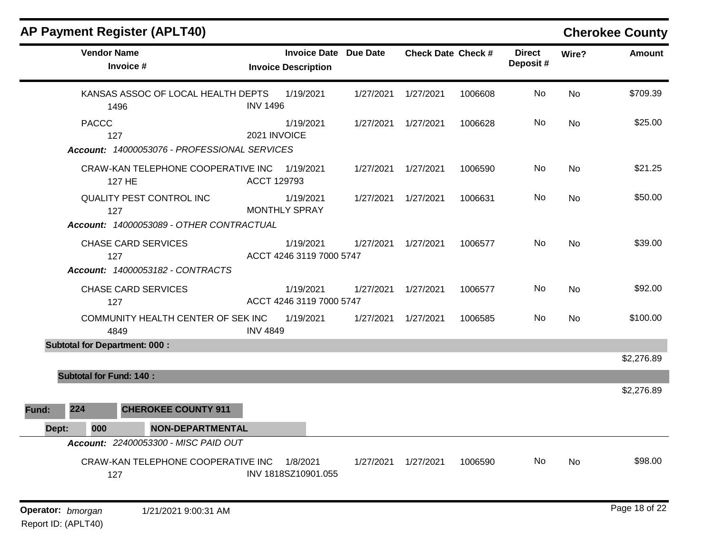| <b>AP Payment Register (APLT40)</b>                                                          |                 |                                                            |           |                           |         |                           |           | <b>Cherokee County</b> |
|----------------------------------------------------------------------------------------------|-----------------|------------------------------------------------------------|-----------|---------------------------|---------|---------------------------|-----------|------------------------|
| <b>Vendor Name</b><br>Invoice #                                                              |                 | <b>Invoice Date Due Date</b><br><b>Invoice Description</b> |           | <b>Check Date Check #</b> |         | <b>Direct</b><br>Deposit# | Wire?     | <b>Amount</b>          |
| KANSAS ASSOC OF LOCAL HEALTH DEPTS<br>1496                                                   | <b>INV 1496</b> | 1/19/2021                                                  | 1/27/2021 | 1/27/2021                 | 1006608 | No                        | <b>No</b> | \$709.39               |
| <b>PACCC</b><br>127                                                                          | 2021 INVOICE    | 1/19/2021                                                  | 1/27/2021 | 1/27/2021                 | 1006628 | No.                       | No        | \$25.00                |
| Account: 14000053076 - PROFESSIONAL SERVICES<br>CRAW-KAN TELEPHONE COOPERATIVE INC<br>127 HE | ACCT 129793     | 1/19/2021                                                  | 1/27/2021 | 1/27/2021                 | 1006590 | No                        | <b>No</b> | \$21.25                |
| QUALITY PEST CONTROL INC<br>127<br>Account: 14000053089 - OTHER CONTRACTUAL                  |                 | 1/19/2021<br><b>MONTHLY SPRAY</b>                          | 1/27/2021 | 1/27/2021                 | 1006631 | No                        | <b>No</b> | \$50.00                |
| <b>CHASE CARD SERVICES</b><br>127<br><b>Account: 14000053182 - CONTRACTS</b>                 |                 | 1/19/2021<br>ACCT 4246 3119 7000 5747                      | 1/27/2021 | 1/27/2021                 | 1006577 | No                        | <b>No</b> | \$39.00                |
| <b>CHASE CARD SERVICES</b><br>127                                                            |                 | 1/19/2021<br>ACCT 4246 3119 7000 5747                      | 1/27/2021 | 1/27/2021                 | 1006577 | No.                       | No        | \$92.00                |
| COMMUNITY HEALTH CENTER OF SEK INC<br>4849                                                   | <b>INV 4849</b> | 1/19/2021                                                  | 1/27/2021 | 1/27/2021                 | 1006585 | No                        | <b>No</b> | \$100.00               |
| <b>Subtotal for Department: 000:</b>                                                         |                 |                                                            |           |                           |         |                           |           |                        |
|                                                                                              |                 |                                                            |           |                           |         |                           |           | \$2,276.89             |
| <b>Subtotal for Fund: 140:</b>                                                               |                 |                                                            |           |                           |         |                           |           | \$2,276.89             |
| 224<br><b>CHEROKEE COUNTY 911</b><br>Fund:                                                   |                 |                                                            |           |                           |         |                           |           |                        |
| 000<br><b>NON-DEPARTMENTAL</b><br>Dept:<br>Account: 22400053300 - MISC PAID OUT              |                 |                                                            |           |                           |         |                           |           |                        |
| CRAW-KAN TELEPHONE COOPERATIVE INC<br>127                                                    |                 | 1/8/2021<br>INV 1818SZ10901.055                            | 1/27/2021 | 1/27/2021                 | 1006590 | No                        | No        | \$98.00                |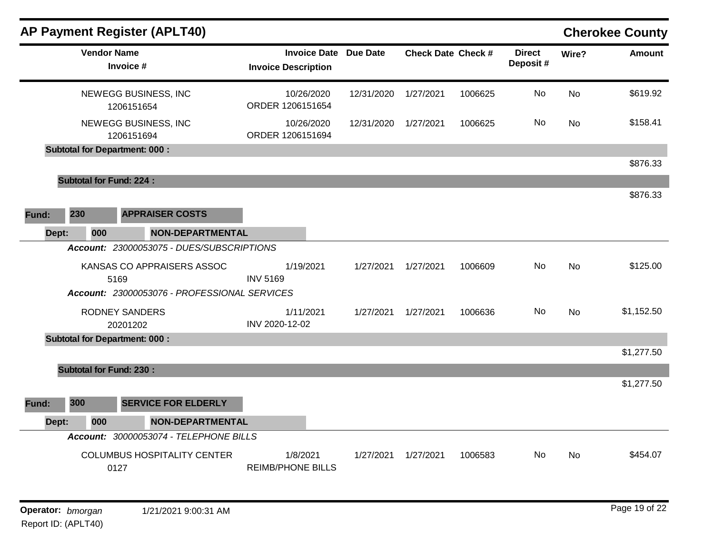|       |       |                    | <b>AP Payment Register (APLT40)</b>                                                |                 |                                                   |                 |                           |         |                           |           | <b>Cherokee County</b> |
|-------|-------|--------------------|------------------------------------------------------------------------------------|-----------------|---------------------------------------------------|-----------------|---------------------------|---------|---------------------------|-----------|------------------------|
|       |       | <b>Vendor Name</b> | Invoice #                                                                          |                 | <b>Invoice Date</b><br><b>Invoice Description</b> | <b>Due Date</b> | <b>Check Date Check #</b> |         | <b>Direct</b><br>Deposit# | Wire?     | <b>Amount</b>          |
|       |       |                    | NEWEGG BUSINESS, INC<br>1206151654                                                 |                 | 10/26/2020<br>ORDER 1206151654                    | 12/31/2020      | 1/27/2021                 | 1006625 | No                        | <b>No</b> | \$619.92               |
|       |       |                    | NEWEGG BUSINESS, INC<br>1206151694                                                 |                 | 10/26/2020<br>ORDER 1206151694                    | 12/31/2020      | 1/27/2021                 | 1006625 | No.                       | <b>No</b> | \$158.41               |
|       |       |                    | <b>Subtotal for Department: 000:</b>                                               |                 |                                                   |                 |                           |         |                           |           |                        |
|       |       |                    |                                                                                    |                 |                                                   |                 |                           |         |                           |           | \$876.33               |
|       |       |                    | <b>Subtotal for Fund: 224:</b>                                                     |                 |                                                   |                 |                           |         |                           |           | \$876.33               |
| Fund: | 230   |                    | <b>APPRAISER COSTS</b>                                                             |                 |                                                   |                 |                           |         |                           |           |                        |
|       | Dept: | 000                | <b>NON-DEPARTMENTAL</b>                                                            |                 |                                                   |                 |                           |         |                           |           |                        |
|       |       |                    | Account: 23000053075 - DUES/SUBSCRIPTIONS                                          |                 |                                                   |                 |                           |         |                           |           |                        |
|       |       |                    | KANSAS CO APPRAISERS ASSOC<br>5169<br>Account: 23000053076 - PROFESSIONAL SERVICES | <b>INV 5169</b> | 1/19/2021                                         | 1/27/2021       | 1/27/2021                 | 1006609 | No.                       | <b>No</b> | \$125.00               |
|       |       |                    |                                                                                    |                 |                                                   |                 |                           |         |                           |           |                        |
|       |       |                    | <b>RODNEY SANDERS</b><br>20201202                                                  | INV 2020-12-02  | 1/11/2021                                         | 1/27/2021       | 1/27/2021                 | 1006636 | No                        | <b>No</b> | \$1,152.50             |
|       |       |                    | <b>Subtotal for Department: 000:</b>                                               |                 |                                                   |                 |                           |         |                           |           |                        |
|       |       |                    |                                                                                    |                 |                                                   |                 |                           |         |                           |           | \$1,277.50             |
|       |       |                    | <b>Subtotal for Fund: 230:</b>                                                     |                 |                                                   |                 |                           |         |                           |           |                        |
| Fund: | 300   |                    | <b>SERVICE FOR ELDERLY</b>                                                         |                 |                                                   |                 |                           |         |                           |           | \$1,277.50             |
|       | Dept: | 000                | <b>NON-DEPARTMENTAL</b>                                                            |                 |                                                   |                 |                           |         |                           |           |                        |
|       |       |                    | Account: 30000053074 - TELEPHONE BILLS                                             |                 |                                                   |                 |                           |         |                           |           |                        |
|       |       |                    | <b>COLUMBUS HOSPITALITY CENTER</b><br>0127                                         |                 | 1/8/2021<br><b>REIMB/PHONE BILLS</b>              | 1/27/2021       | 1/27/2021                 | 1006583 | No.                       | <b>No</b> | \$454.07               |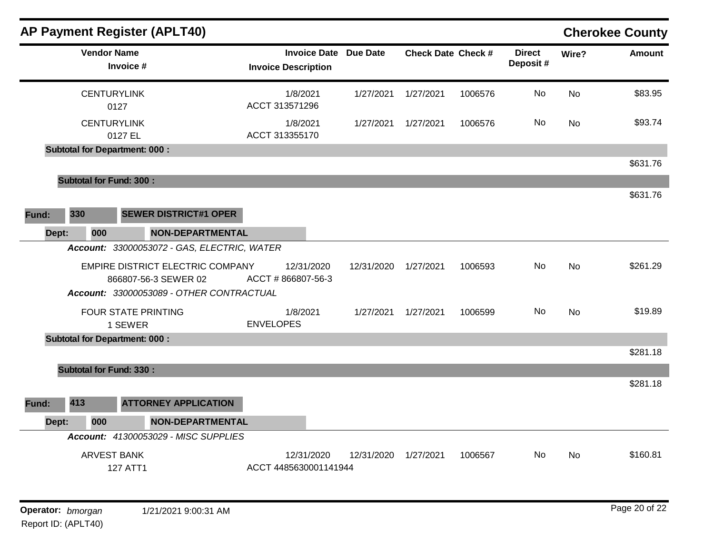|       |                                | <b>AP Payment Register (APLT40)</b>                                                                         |                  |                                                            |            |                           |         |                           |           | <b>Cherokee County</b> |
|-------|--------------------------------|-------------------------------------------------------------------------------------------------------------|------------------|------------------------------------------------------------|------------|---------------------------|---------|---------------------------|-----------|------------------------|
|       | <b>Vendor Name</b>             | Invoice #                                                                                                   |                  | <b>Invoice Date Due Date</b><br><b>Invoice Description</b> |            | <b>Check Date Check #</b> |         | <b>Direct</b><br>Deposit# | Wire?     | <b>Amount</b>          |
|       | <b>CENTURYLINK</b>             | 0127                                                                                                        |                  | 1/8/2021<br>ACCT 313571296                                 | 1/27/2021  | 1/27/2021                 | 1006576 | No                        | <b>No</b> | \$83.95                |
|       | <b>CENTURYLINK</b>             | 0127 EL                                                                                                     |                  | 1/8/2021<br>ACCT 313355170                                 | 1/27/2021  | 1/27/2021                 | 1006576 | No.                       | No        | \$93.74                |
|       |                                | <b>Subtotal for Department: 000:</b>                                                                        |                  |                                                            |            |                           |         |                           |           |                        |
|       |                                |                                                                                                             |                  |                                                            |            |                           |         |                           |           | \$631.76               |
|       | <b>Subtotal for Fund: 300:</b> |                                                                                                             |                  |                                                            |            |                           |         |                           |           |                        |
|       |                                |                                                                                                             |                  |                                                            |            |                           |         |                           |           | \$631.76               |
| Fund: | 330                            | <b>SEWER DISTRICT#1 OPER</b>                                                                                |                  |                                                            |            |                           |         |                           |           |                        |
| Dept: | 000                            | <b>NON-DEPARTMENTAL</b>                                                                                     |                  |                                                            |            |                           |         |                           |           |                        |
|       |                                | Account: 33000053072 - GAS, ELECTRIC, WATER                                                                 |                  |                                                            |            |                           |         |                           |           |                        |
|       |                                | <b>EMPIRE DISTRICT ELECTRIC COMPANY</b><br>866807-56-3 SEWER 02<br>Account: 33000053089 - OTHER CONTRACTUAL |                  | 12/31/2020<br>ACCT #866807-56-3                            | 12/31/2020 | 1/27/2021                 | 1006593 | No                        | <b>No</b> | \$261.29               |
|       |                                | <b>FOUR STATE PRINTING</b><br>1 SEWER                                                                       | <b>ENVELOPES</b> | 1/8/2021                                                   | 1/27/2021  | 1/27/2021                 | 1006599 | No                        | <b>No</b> | \$19.89                |
|       |                                | <b>Subtotal for Department: 000:</b>                                                                        |                  |                                                            |            |                           |         |                           |           |                        |
|       |                                |                                                                                                             |                  |                                                            |            |                           |         |                           |           | \$281.18               |
|       |                                | <b>Subtotal for Fund: 330:</b>                                                                              |                  |                                                            |            |                           |         |                           |           |                        |
|       |                                |                                                                                                             |                  |                                                            |            |                           |         |                           |           | \$281.18               |
| Fund: | 413                            | <b>ATTORNEY APPLICATION</b>                                                                                 |                  |                                                            |            |                           |         |                           |           |                        |
| Dept: | 000                            | <b>NON-DEPARTMENTAL</b>                                                                                     |                  |                                                            |            |                           |         |                           |           |                        |
|       |                                | Account: 41300053029 - MISC SUPPLIES                                                                        |                  |                                                            |            |                           |         |                           |           |                        |
|       | <b>ARVEST BANK</b>             | <b>127 ATT1</b>                                                                                             |                  | 12/31/2020<br>ACCT 4485630001141944                        | 12/31/2020 | 1/27/2021                 | 1006567 | No                        | No        | \$160.81               |
|       |                                |                                                                                                             |                  |                                                            |            |                           |         |                           |           |                        |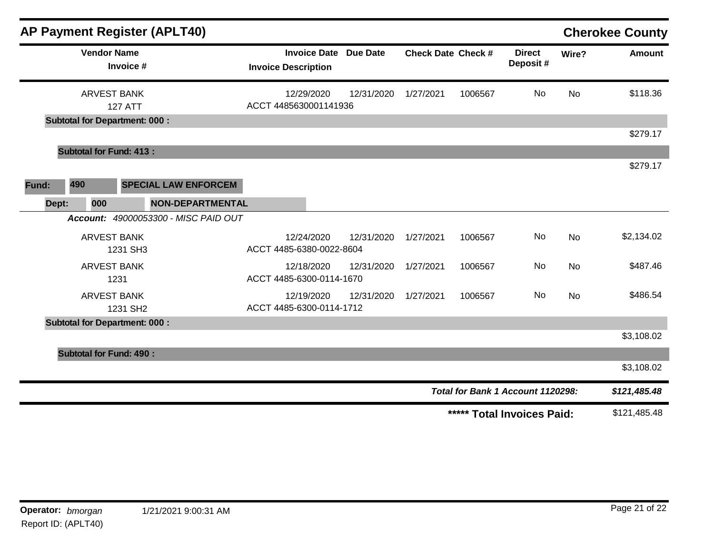|       |                                      | <b>AP Payment Register (APLT40)</b>  |                            |            |                              |                           |         |                                   |           | <b>Cherokee County</b> |
|-------|--------------------------------------|--------------------------------------|----------------------------|------------|------------------------------|---------------------------|---------|-----------------------------------|-----------|------------------------|
|       | <b>Vendor Name</b><br>Invoice #      |                                      | <b>Invoice Description</b> |            | <b>Invoice Date Due Date</b> | <b>Check Date Check #</b> |         | <b>Direct</b><br>Deposit #        | Wire?     | Amount                 |
|       | <b>ARVEST BANK</b><br><b>127 ATT</b> |                                      | ACCT 4485630001141936      | 12/29/2020 | 12/31/2020                   | 1/27/2021                 | 1006567 | No                                | <b>No</b> | \$118.36               |
|       | <b>Subtotal for Department: 000:</b> |                                      |                            |            |                              |                           |         |                                   |           | \$279.17               |
|       | <b>Subtotal for Fund: 413:</b>       |                                      |                            |            |                              |                           |         |                                   |           |                        |
|       |                                      |                                      |                            |            |                              |                           |         |                                   |           | \$279.17               |
| Fund: | 490                                  | <b>SPECIAL LAW ENFORCEM</b>          |                            |            |                              |                           |         |                                   |           |                        |
| Dept: | 000                                  | <b>NON-DEPARTMENTAL</b>              |                            |            |                              |                           |         |                                   |           |                        |
|       |                                      | Account: 49000053300 - MISC PAID OUT |                            |            |                              |                           |         |                                   |           |                        |
|       | <b>ARVEST BANK</b><br>1231 SH3       |                                      | ACCT 4485-6380-0022-8604   | 12/24/2020 | 12/31/2020                   | 1/27/2021                 | 1006567 | No                                | <b>No</b> | \$2,134.02             |
|       | <b>ARVEST BANK</b><br>1231           |                                      | ACCT 4485-6300-0114-1670   | 12/18/2020 | 12/31/2020                   | 1/27/2021                 | 1006567 | No                                | <b>No</b> | \$487.46               |
|       | <b>ARVEST BANK</b><br>1231 SH2       |                                      | ACCT 4485-6300-0114-1712   | 12/19/2020 | 12/31/2020                   | 1/27/2021                 | 1006567 | No                                | <b>No</b> | \$486.54               |
|       | <b>Subtotal for Department: 000:</b> |                                      |                            |            |                              |                           |         |                                   |           |                        |
|       |                                      |                                      |                            |            |                              |                           |         |                                   |           | \$3,108.02             |
|       | <b>Subtotal for Fund: 490:</b>       |                                      |                            |            |                              |                           |         |                                   |           |                        |
|       |                                      |                                      |                            |            |                              |                           |         |                                   |           | \$3,108.02             |
|       |                                      |                                      |                            |            |                              |                           |         | Total for Bank 1 Account 1120298: |           | \$121,485.48           |
|       |                                      |                                      |                            |            |                              |                           |         | ***** Total Invoices Paid:        |           | \$121,485.48           |